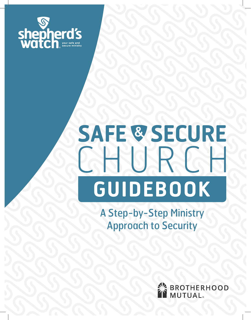

# SAFE & SECURE HURG **GUIDEBOOK**

A Step-by-Step Ministry Approach to Security

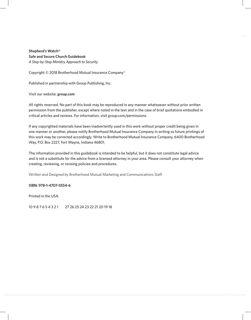**Shepherd's Watch® Safe and Secure Church Guidebook** *A Step-by-Step Ministry Approach to Security*

Copyright © 2018 Brotherhood Mutual Insurance Company®

Published in partnership with Group Publishing, Inc.

Visit our website: **group.com**

*A*ll rights reserved. No part of this book may be reproduced in any manner whatsoever without prior written permission from the publisher, except where noted in the text and in the case of brief quotations embodied in critical articles and reviews. For information, visit group.com/permissions.

If any copyrighted materials have been inadvertently used in this work without proper credit being given in one manner or another, please notify Brotherhood Mutual Insurance Company in writing so future printings of this work may be corrected accordingly. Write to Brotherhood Mutual Insurance Company, 6400 Brotherhood Way, P.O. Box 2227, Fort Wayne, Indiana 46801.

The information provided in this guidebook is intended to be helpful, but it does not constitute legal advice and is not a substitute for the advice from a licensed attorney in your area. Please consult your attorney when creating, reviewing, or revising policies and procedures.

Written and Designed by Brotherhood Mutual Marketing and Communications Staff.

### **ISBN: 978-1-4707-5554-6**

Printed in the USA.

10 9 8 7 6 5 4 3 2 1 27 26 25 24 23 22 21 20 19 18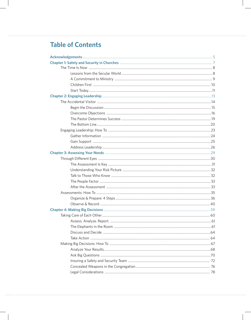### **Table of Contents**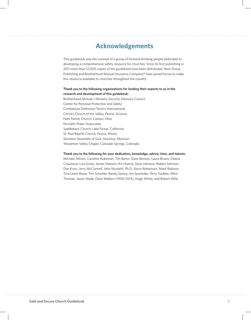### **Acknowledgements**

This guidebook was the concept of a group of forward-thinking people dedicated to developing a comprehensive safety resource for churches. Since its first publishing in 2011 more than 12,000 copies of the guidebook have been distributed. Now Group Publishing and Brotherhood Mutual Insurance Company® have joined forces to make this resource available to churches throughout the country.

### **Thank you to the following organizations for lending their experts to us in the research and development of this guidebook:**

Brotherhood Mutual—Ministry Security Advisory Council Center for Personal Protection and Safety Combatives Defensive Tactics International Christ's Church of the Valley, Peoria, Arizona Faith Family Church, Canton, Ohio Nicoletti-Flater Associates Saddleback Church, Lake Forest, California St. Paul Baptist Church, Peoria, Illinois Stockton Assembly of God, Stockton, Missouri Woodmen Valley Chapel, Colorado Springs, Colorado

#### **Thank you to the following for your dedication, knowledge, advice, time, and talents:**

Michael Allison, Caroline Aukeman, Tim Baron, Dave Benson, Laura Brown, Deana Croussore, Lisa Grote, James Hanson, Art Huerta, Dave Johnson, Robert Johnson, Don Knox, Jerry McConnell, John Nicoletti, Ph.D., Kevin Robertson, Mark Robison, Tina Lewis Rowe, Tim Schuhler, Randy Spivey, Jim Sporleder, Terry Taulbee, Mitzi Thomas, Jason Wade, Dave Walters (1958-2014), Hugh White, and Robert Wild.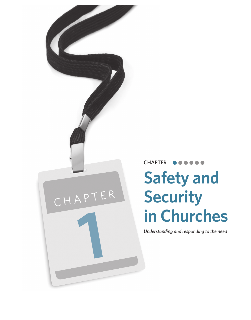## CHAPTER1<sup>e</sup> **Safety and Security in Churches 11 Churches**<br> *Understanding and responding to the need*

CHAPTER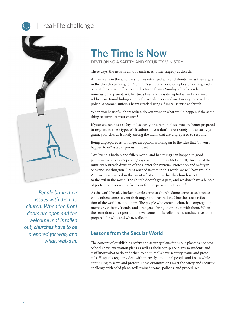### real-life challenge



*People bring their issues with them to church. When the front doors are open and the welcome mat is rolled out, churches have to be prepared for who, and what, walks in.*

### **The Time Is Now**

DEVELOPING A SAFETY AND SECURITY MINISTRY

These days, the news is all too familiar. Another tragedy at church.

A man waits in the sanctuary for his estranged wife and shoots her as they argue in the church's parking lot. A church's secretary is viciously beaten during a robbery at the church office. A child is taken from a Sunday school class by her non-custodial parent. A Christmas Eve service is disrupted when two armed robbers are found hiding among the worshippers and are forcibly removed by police. A woman suffers a heart attack during a funeral service at church.

When you hear of such tragedies, do you wonder what would happen if the same thing occurred at your church?

If your church has a safety and security program in place, you are better prepared to respond to these types of situations. If you don't have a safety and security program, your church is likely among the many that are unprepared to respond.

Being unprepared is no longer an option. Holding on to the idea that "It won't happen to us" is a dangerous mindset.

"We live in a broken and fallen world, and bad things can happen to good people—even to God's people," says Reverend Jerry McConnell, director of the ministry outreach division of the Center for Personal Protection and Safety in Spokane, Washington. "Jesus warned us that in this world we will have trouble. And we have learned in the twenty-first century that the church is not immune to the evil in the world. The church doesn't get a pass, and we don't have a bubble of protection over us that keeps us from experiencing trouble."

As the world breaks, broken people come to church. Some come to seek peace, while others come to vent their anger and frustration. Churches are a reflection of the world around them. The people who come to church—congregation members, visitors, friends, and strangers—bring their issues with them. When the front doors are open and the welcome mat is rolled out, churches have to be prepared for who, and what, walks in.

### **Lessons from the Secular World**

The concept of establishing safety and security plans for public places is not new. Schools have evacuation plans as well as shelter-in-place plans so students and staff know what to do and when to do it. Malls have security teams and protocols. Hospitals regularly deal with intensely emotional people and issues while continuing to serve and protect. These organizations meet the safety and security challenge with solid plans, well-trained teams, policies, and procedures.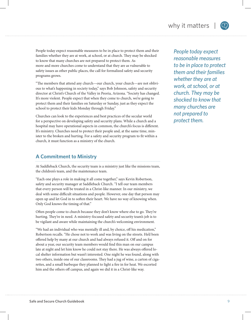People today expect reasonable measures to be in place to protect them and their families whether they are at work, at school, or at church. They may be shocked to know that many churches are not prepared to protect them. As more and more churches come to understand that they are as vulnerable to safety issues as other public places, the call for formalized safety and security programs grows.

"The members that attend any church—our church, your church—are not oblivious to what's happening in society today," says Bob Johnson, safety and security director at Christ's Church of the Valley in Peoria, Arizona. "Society has changed. It's more violent. People expect that when they come to church, we're going to protect them and their families on Saturday or Sunday, just as they expect the school to protect their kids Monday through Friday."

Churches can look to the experiences and best practices of the secular world for a perspective on developing safety and security plans. While a church and a hospital may have operational aspects in common, the church's focus is different. It's ministry. Churches need to protect their people and, at the same time, minister to the broken and hurting. For a safety and security program to fit within a church, it must function as a ministry of the church.

### **A Commitment to Ministry**

At Saddleback Church, the security team is a ministry just like the missions team, the children's team, and the maintenance team.

"Each one plays a role in making it all come together," says Kevin Robertson, safety and security manager at Saddleback Church. "I tell our team members that every person will be treated in a Christ-like manner. In our ministry, we deal with some difficult situations and people. However, one day that person may open up and let God in to soften their heart. We have no way of knowing when. Only God knows the timing of that."

Often people come to church because they don't know where else to go. They're hurting. They're in need. A ministry-focused safety and security team's job is to be vigilant and aware while maintaining the church's welcoming environment.

"We had an individual who was mentally ill and, by choice, off his medication," Robertson recalls. "He chose not to work and was living on the streets. He'd been offered help by many at our church and had always refused it. Off and on for about a year, our security team members would find this man on our campus late at night and let him know he could not stay there. He was always offered local shelter information but wasn't interested. One night he was found, along with two others, inside one of our classrooms. They had a jug of wine, a carton of cigarettes, and a small barbeque they planned to light a fire in for heat. We escorted him and the others off campus, and again we did it in a Christ-like way.

*People today expect reasonable measures to be in place to protect them and their families whether they are at work, at school, or at church. They may be shocked to know that many churches are not prepared to protect them.*

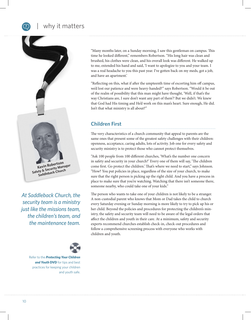### why it matters



*At Saddleback Church, the security team is a ministry just like the missions team, the children's team, and the maintenance team.*



Refer to the *Protecting Your Children*  **and Youth DVD** for tips and best practices for keeping your children and youth safe. "Many months later, on a Sunday morning, I saw this gentleman on campus. This time he looked different," remembers Robertson. "His long hair was clean and brushed, his clothes were clean, and his overall look was different. He walked up to me, extended his hand and said, 'I want to apologize to you and your team. I was a real headache to you this past year. I've gotten back on my meds, got a job, and have an apartment.'

"Reflecting on this, what if after the umpteenth time of escorting him off campus, we'd lost our patience and were heavy-handed?" says Robertson. "Would it be out of the realm of possibility that this man might have thought, 'Well, if that's the way Christians are, I sure don't want any part of them'? But we didn't. We knew that God had His timing and He'd work on this man's heart. Sure enough, He did. Isn't that what ministry is all about?"

### **Children First**

The very characteristics of a church community that appeal to parents are the same ones that present some of the greatest safety challenges with their children: openness, acceptance, caring adults, lots of activity. Job one for every safety and security ministry is to protect those who cannot protect themselves.

"Ask 100 people from 100 different churches, 'What's the number one concern in safety and security in your church?' Every one of them will say, 'The children come first. Go protect the children.' That's where we need to start," says Johnson. "How? You put policies in place, regardless of the size of your church, to make sure that the right person is picking up the right child. And you have a process in place to make sure that you're watching. Watching that there isn't someone there, someone nearby, who could take one of your kids."

The person who wants to take one of your children is not likely to be a stranger. A non-custodial parent who knows that Mom or Dad takes the child to church every Saturday evening or Sunday morning is more likely to try to pick up his or her child. Beyond the policies and procedures for protecting the children's ministry, the safety and security team will need to be aware of the legal orders that affect the children and youth in their care. At a minimum, safety and security experts recommend churches establish check-in, check-out procedures and follow a comprehensive screening process with everyone who works with children and youth.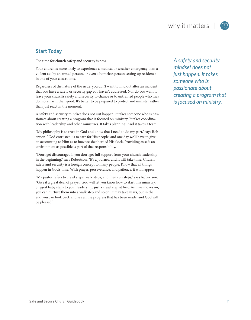### **Start Today**

The time for church safety and security is now.

Your church is more likely to experience a medical or weather emergency than a violent act by an armed person, or even a homeless person setting up residence in one of your classrooms.

Regardless of the nature of the issue, you don't want to find out after an incident that you have a safety or security gap you haven't addressed. Nor do you want to leave your church's safety and security to chance or to untrained people who may do more harm than good. It's better to be prepared to protect and minister rather than just react in the moment.

A safety and security mindset does not just happen. It takes someone who is passionate about creating a program that is focused on ministry. It takes coordination with leadership and other ministries. It takes planning. And it takes a team.

"My philosophy is to trust in God and know that I need to do my part," says Robertson. "God entrusted us to care for His people, and one day we'll have to give an accounting to Him as to how we shepherded His flock. Providing as safe an environment as possible is part of that responsibility.

"Don't get discouraged if you don't get full support from your church leadership in the beginning," says Robertson. "It's a journey, and it will take time. Church safety and security is a foreign concept to many people. Know that all things happen in God's time. With prayer, perseverance, and patience, it will happen.

"My pastor refers to crawl steps, walk steps, and then run steps," says Robertson. "Give it a great deal of prayer. God will let you know how to start this ministry. Suggest baby steps to your leadership, just a crawl step at first. As time moves on, you can nurture them into a walk step and so on. It may take years, but in the end you can look back and see all the progress that has been made, and God will be pleased."

*A safety and security mindset does not just happen. It takes someone who is passionate about creating a program that is focused on ministry.*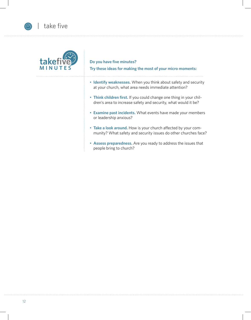

### **Do you have five minutes?**

**Try these ideas for making the most of your micro moments:**

- **Identify weaknesses.** When you think about safety and security at your church, what area needs immediate attention?
- **Think children first.** If you could change one thing in your children's area to increase safety and security, what would it be?
- **Examine past incidents.** What events have made your members or leadership anxious?
- **Take a look around.** How is your church affected by your community? What safety and security issues do other churches face?
- **Assess preparedness.** Are you ready to address the issues that people bring to church?